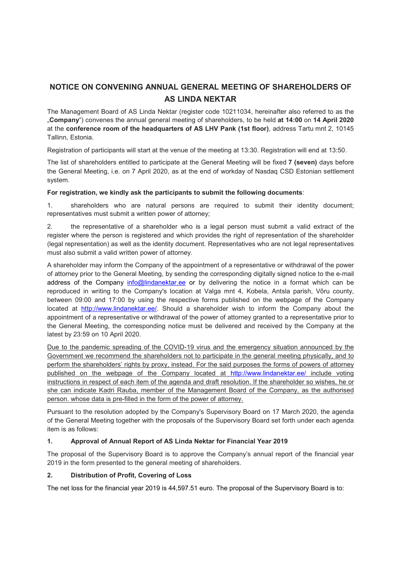# **NOTICE ON CONVENING ANNUAL GENERAL MEETING OF SHAREHOLDERS OF AS LINDA NEKTAR**

The Management Board of AS Linda Nektar (register code 10211034, hereinafter also referred to as the "**Company**") convenes the annual general meeting of shareholders, to be held **at 14:00** on **14 April 2020** at the **conference room of the headquarters of AS LHV Pank (1st floor)**, address Tartu mnt 2, 10145 Tallinn, Estonia.

Registration of participants will start at the venue of the meeting at 13:30. Registration will end at 13:50.

The list of shareholders entitled to participate at the General Meeting will be fixed **7 (seven)** days before the General Meeting, i.e. on 7 April 2020, as at the end of workday of Nasdaq CSD Estonian settlement system.

# **For registration, we kindly ask the participants to submit the following documents**:

1. shareholders who are natural persons are required to submit their identity document; representatives must submit a written power of attorney;

2. the representative of a shareholder who is a legal person must submit a valid extract of the register where the person is registered and which provides the right of representation of the shareholder (legal representation) as well as the identity document. Representatives who are not legal representatives must also submit a valid written power of attorney.

A shareholder may inform the Company of the appointment of a representative or withdrawal of the power of attorney prior to the General Meeting, by sending the corresponding digitally signed notice to the e-mail address of the Company info@lindanektar.ee or by delivering the notice in a format which can be reproduced in writing to the Company's location at Valga mnt 4, Kobela, Antsla parish, Võru county, between 09:00 and 17:00 by using the respective forms published on the webpage of the Company located at http://www.lindanektar.ee/. Should a shareholder wish to inform the Company about the appointment of a representative or withdrawal of the power of attorney granted to a representative prior to the General Meeting, the corresponding notice must be delivered and received by the Company at the latest by 23:59 on 10 April 2020.

Due to the pandemic spreading of the COVID-19 virus and the emergency situation announced by the Government we recommend the shareholders not to participate in the general meeting physically, and to perform the shareholders' rights by proxy, instead. For the said purposes the forms of powers of attorney published on the webpage of the Company located at http://www.lindanektar.ee/ include voting instructions in respect of each item of the agenda and draft resolution. If the shareholder so wishes, he or she can indicate Kadri Rauba, member of the Management Board of the Company, as the authorised person. whose data is pre-filled in the form of the power of attorney.

Pursuant to the resolution adopted by the Company's Supervisory Board on 17 March 2020, the agenda of the General Meeting together with the proposals of the Supervisory Board set forth under each agenda item is as follows:

# **1. Approval of Annual Report of AS Linda Nektar for Financial Year 2019**

The proposal of the Supervisory Board is to approve the Company's annual report of the financial year 2019 in the form presented to the general meeting of shareholders.

# **2. Distribution of Profit, Covering of Loss**

The net loss for the financial year 2019 is 44,597.51 euro. The proposal of the Supervisory Board is to: